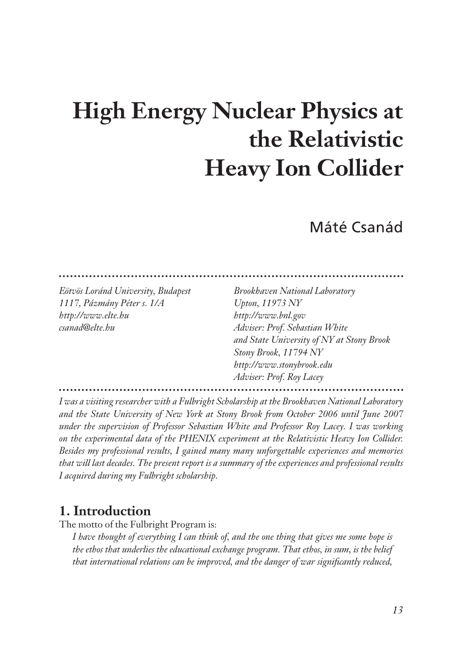# **High Energy Nuclear Physics at the Relativistic Heavy Ion Collider**

# Máté Csanád

*1117, Pázmány Péter s. 1/A Upton, 11973 NY http://www.elte.hu http://www.bnl.gov csanad@elte.hu Adviser: Prof. Sebastian White*

*Eötvös Loránd University, Budapest Brookhaven National Laboratory and State University of NY at Stony Brook Stony Brook, 11794 NY http://www.stonybrook.edu Adviser: Prof. Roy Lacey*

*I was a visiting researcher with a Fulbright Scholarship at the Brookhaven National Laboratory and the State University of New York at Stony Brook from October 2006 until June 2007 under the supervision of Professor Sebastian White and Professor Roy Lacey. I was working on the experimental data of the PHENIX experiment at the Relativistic Heavy Ion Collider. Besides my professional results, I gained many many unforgettable experiences and memories that will last decades. The present report is a summary of the experiences and professional results I acquired during my Fulbright scholarship.*

## **1. Introduction**

The motto of the Fulbright Program is:

*I have thought of everything I can think of, and the one thing that gives me some hope is the ethos that underlies the educational exchange program. That ethos, in sum, is the belief that international relations can be improved, and the danger of war significantly reduced,*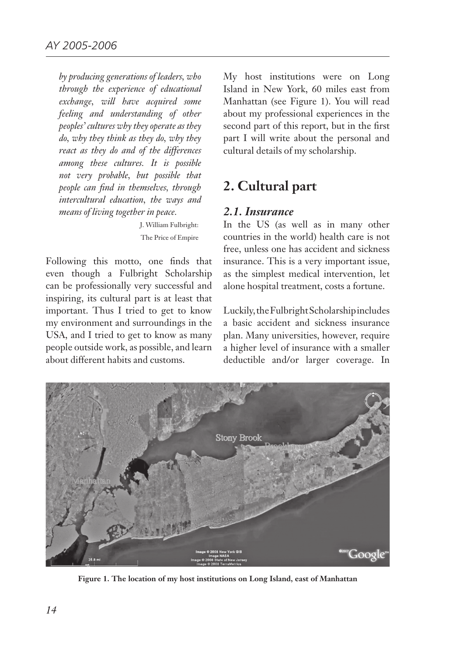*by producing generations of leaders, who through the experience of educational exchange, will have acquired some feeling and understanding of other peoples' cultures why they operate as they do, why they think as they do, why they react as they do and of the differences among these cultures. It is possible not very probable, but possible that people can find in themselves, through intercultural education, the ways and means of living together in peace.*

> J. William Fulbright: The Price of Empire

Following this motto, one finds that even though a Fulbright Scholarship can be professionally very successful and inspiring, its cultural part is at least that important. Thus I tried to get to know my environment and surroundings in the USA, and I tried to get to know as many people outside work, as possible, and learn about different habits and customs.

My host institutions were on Long Island in New York, 60 miles east from Manhattan (see Figure 1). You will read about my professional experiences in the second part of this report, but in the first part I will write about the personal and cultural details of my scholarship.

# **2. Cultural part**

#### *2.1. Insurance*

In the US (as well as in many other countries in the world) health care is not free, unless one has accident and sickness insurance. This is a very important issue, as the simplest medical intervention, let alone hospital treatment, costs a fortune.

Luckily, the Fulbright Scholarship includes a basic accident and sickness insurance plan. Many universities, however, require a higher level of insurance with a smaller deductible and/or larger coverage. In



**Figure 1. The location of my host institutions on Long Island, east of Manhattan**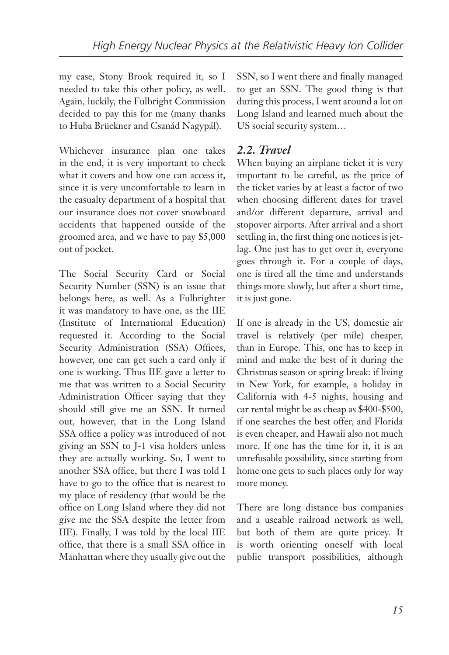my case, Stony Brook required it, so I needed to take this other policy, as well. Again, luckily, the Fulbright Commission decided to pay this for me (many thanks to Huba Brückner and Csanád Nagypál).

Whichever insurance plan one takes in the end, it is very important to check what it covers and how one can access it, since it is very uncomfortable to learn in the casualty department of a hospital that our insurance does not cover snowboard accidents that happened outside of the groomed area, and we have to pay \$5,000 out of pocket.

The Social Security Card or Social Security Number (SSN) is an issue that belongs here, as well. As a Fulbrighter it was mandatory to have one, as the IIE (Institute of International Education) requested it. According to the Social Security Administration (SSA) Offices, however, one can get such a card only if one is working. Thus IIE gave a letter to me that was written to a Social Security Administration Officer saying that they should still give me an SSN. It turned out, however, that in the Long Island SSA office a policy was introduced of not giving an SSN to J-1 visa holders unless they are actually working. So, I went to another SSA office, but there I was told I have to go to the office that is nearest to my place of residency (that would be the office on Long Island where they did not give me the SSA despite the letter from IIE). Finally, I was told by the local IIE office, that there is a small SSA office in Manhattan where they usually give out the

SSN, so I went there and finally managed to get an SSN. The good thing is that during this process, I went around a lot on Long Island and learned much about the US social security system…

#### *2.2. Travel*

When buying an airplane ticket it is very important to be careful, as the price of the ticket varies by at least a factor of two when choosing different dates for travel and/or different departure, arrival and stopover airports. After arrival and a short settling in, the first thing one notices is jetlag. One just has to get over it, everyone goes through it. For a couple of days, one is tired all the time and understands things more slowly, but after a short time, it is just gone.

If one is already in the US, domestic air travel is relatively (per mile) cheaper, than in Europe. This, one has to keep in mind and make the best of it during the Christmas season or spring break: if living in New York, for example, a holiday in California with 4-5 nights, housing and car rental might be as cheap as \$400-\$500, if one searches the best offer, and Florida is even cheaper, and Hawaii also not much more. If one has the time for it, it is an unrefusable possibility, since starting from home one gets to such places only for way more money.

There are long distance bus companies and a useable railroad network as well, but both of them are quite pricey. It is worth orienting oneself with local public transport possibilities, although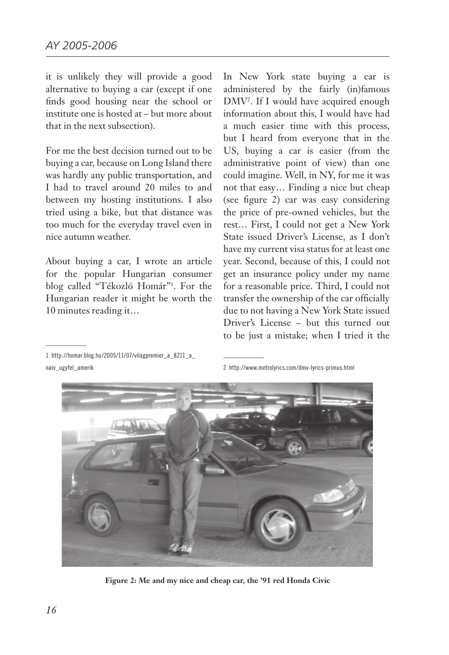it is unlikely they will provide a good alternative to buying a car (except if one finds good housing near the school or institute one is hosted at – but more about that in the next subsection).

For me the best decision turned out to be buying a car, because on Long Island there was hardly any public transportation, and I had to travel around 20 miles to and between my hosting institutions. I also tried using a bike, but that distance was too much for the everyday travel even in nice autumn weather.

About buying a car, I wrote an article for the popular Hungarian consumer blog called "Tékozló Homár"1 . For the Hungarian reader it might be worth the 10 minutes reading it…

In New York state buying a car is administered by the fairly (in)famous DMV<sup>2</sup>. If I would have acquired enough information about this, I would have had a much easier time with this process, but I heard from everyone that in the US, buying a car is easier (from the administrative point of view) than one could imagine. Well, in NY, for me it was not that easy… Finding a nice but cheap (see figure 2) car was easy considering the price of pre-owned vehicles, but the rest… First, I could not get a New York State issued Driver's License, as I don't have my current visa status for at least one year. Second, because of this, I could not get an insurance policy under my name for a reasonable price. Third, I could not transfer the ownership of the car officially due to not having a New York State issued Driver's License – but this turned out to be just a mistake; when I tried it the

1 http://homar.blog.hu/2005/11/07/vilagpremier\_a\_8211\_a\_ naiv\_ugyfel\_amerik

2 http://www.metrolyrics.com/dmv-lyrics-primus.html



**Figure 2: Me and my nice and cheap car, the '91 red Honda Civic**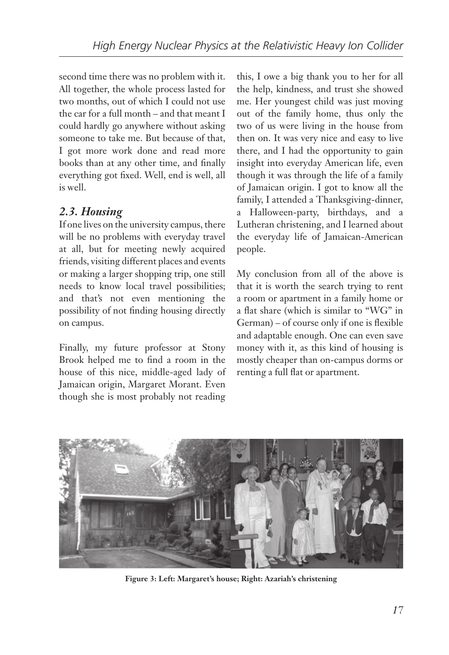second time there was no problem with it. All together, the whole process lasted for two months, out of which I could not use the car for a full month – and that meant I could hardly go anywhere without asking someone to take me. But because of that, I got more work done and read more books than at any other time, and finally everything got fixed. Well, end is well, all is well.

## *2.3. Housing*

If one lives on the university campus, there will be no problems with everyday travel at all, but for meeting newly acquired friends, visiting different places and events or making a larger shopping trip, one still needs to know local travel possibilities; and that's not even mentioning the possibility of not finding housing directly on campus.

Finally, my future professor at Stony Brook helped me to find a room in the house of this nice, middle-aged lady of Jamaican origin, Margaret Morant. Even though she is most probably not reading

this, I owe a big thank you to her for all the help, kindness, and trust she showed me. Her youngest child was just moving out of the family home, thus only the two of us were living in the house from then on. It was very nice and easy to live there, and I had the opportunity to gain insight into everyday American life, even though it was through the life of a family of Jamaican origin. I got to know all the family, I attended a Thanksgiving-dinner, a Halloween-party, birthdays, and a Lutheran christening, and I learned about the everyday life of Jamaican-American people.

My conclusion from all of the above is that it is worth the search trying to rent a room or apartment in a family home or a flat share (which is similar to "WG" in German) – of course only if one is flexible and adaptable enough. One can even save money with it, as this kind of housing is mostly cheaper than on-campus dorms or renting a full flat or apartment.



**Figure 3: Left: Margaret's house; Right: Azariah's christening**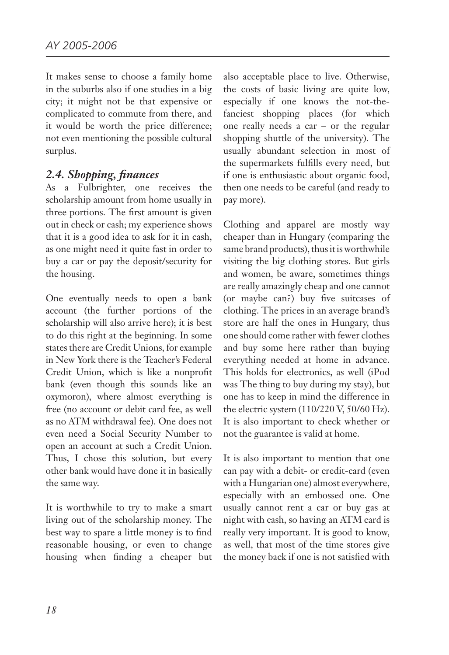It makes sense to choose a family home in the suburbs also if one studies in a big city; it might not be that expensive or complicated to commute from there, and it would be worth the price difference; not even mentioning the possible cultural surplus.

#### *2.4. Shopping, finances*

As a Fulbrighter, one receives the scholarship amount from home usually in three portions. The first amount is given out in check or cash; my experience shows that it is a good idea to ask for it in cash, as one might need it quite fast in order to buy a car or pay the deposit/security for the housing.

One eventually needs to open a bank account (the further portions of the scholarship will also arrive here); it is best to do this right at the beginning. In some states there are Credit Unions, for example in New York there is the Teacher's Federal Credit Union, which is like a nonprofit bank (even though this sounds like an oxymoron), where almost everything is free (no account or debit card fee, as well as no ATM withdrawal fee). One does not even need a Social Security Number to open an account at such a Credit Union. Thus, I chose this solution, but every other bank would have done it in basically the same way.

It is worthwhile to try to make a smart living out of the scholarship money. The best way to spare a little money is to find reasonable housing, or even to change housing when finding a cheaper but also acceptable place to live. Otherwise, the costs of basic living are quite low, especially if one knows the not-thefanciest shopping places (for which one really needs a car – or the regular shopping shuttle of the university). The usually abundant selection in most of the supermarkets fulfills every need, but if one is enthusiastic about organic food, then one needs to be careful (and ready to pay more).

Clothing and apparel are mostly way cheaper than in Hungary (comparing the same brand products), thus it is worthwhile visiting the big clothing stores. But girls and women, be aware, sometimes things are really amazingly cheap and one cannot (or maybe can?) buy five suitcases of clothing. The prices in an average brand's store are half the ones in Hungary, thus one should come rather with fewer clothes and buy some here rather than buying everything needed at home in advance. This holds for electronics, as well (iPod was The thing to buy during my stay), but one has to keep in mind the difference in the electric system (110/220 V, 50/60 Hz). It is also important to check whether or not the guarantee is valid at home.

It is also important to mention that one can pay with a debit- or credit-card (even with a Hungarian one) almost everywhere, especially with an embossed one. One usually cannot rent a car or buy gas at night with cash, so having an ATM card is really very important. It is good to know, as well, that most of the time stores give the money back if one is not satisfied with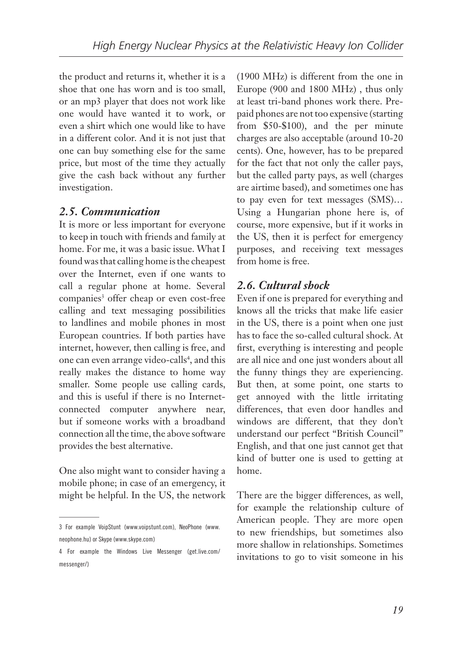the product and returns it, whether it is a shoe that one has worn and is too small, or an mp3 player that does not work like one would have wanted it to work, or even a shirt which one would like to have in a different color. And it is not just that one can buy something else for the same price, but most of the time they actually give the cash back without any further investigation.

#### *2.5. Communication*

It is more or less important for everyone to keep in touch with friends and family at home. For me, it was a basic issue. What I found was that calling home is the cheapest over the Internet, even if one wants to call a regular phone at home. Several companies<sup>3</sup> offer cheap or even cost-free calling and text messaging possibilities to landlines and mobile phones in most European countries. If both parties have internet, however, then calling is free, and one can even arrange video-calls<sup>4</sup>, and this really makes the distance to home way smaller. Some people use calling cards, and this is useful if there is no Internetconnected computer anywhere near, but if someone works with a broadband connection all the time, the above software provides the best alternative.

One also might want to consider having a mobile phone; in case of an emergency, it might be helpful. In the US, the network (1900 MHz) is different from the one in Europe (900 and 1800 MHz) , thus only at least tri-band phones work there. Prepaid phones are not too expensive (starting from \$50-\$100), and the per minute charges are also acceptable (around 10-20 cents). One, however, has to be prepared for the fact that not only the caller pays, but the called party pays, as well (charges are airtime based), and sometimes one has to pay even for text messages (SMS)… Using a Hungarian phone here is, of course, more expensive, but if it works in the US, then it is perfect for emergency purposes, and receiving text messages from home is free.

#### *2.6. Cultural shock*

Even if one is prepared for everything and knows all the tricks that make life easier in the US, there is a point when one just has to face the so-called cultural shock. At first, everything is interesting and people are all nice and one just wonders about all the funny things they are experiencing. But then, at some point, one starts to get annoyed with the little irritating differences, that even door handles and windows are different, that they don't understand our perfect "British Council" English, and that one just cannot get that kind of butter one is used to getting at home.

There are the bigger differences, as well, for example the relationship culture of American people. They are more open to new friendships, but sometimes also more shallow in relationships. Sometimes invitations to go to visit someone in his

<sup>3</sup> For example VoipStunt (www.voipstunt.com), NeoPhone (www. neophone.hu) or Skype (www.skype.com)

<sup>4</sup> For example the Windows Live Messenger (get.live.com/ messenger/)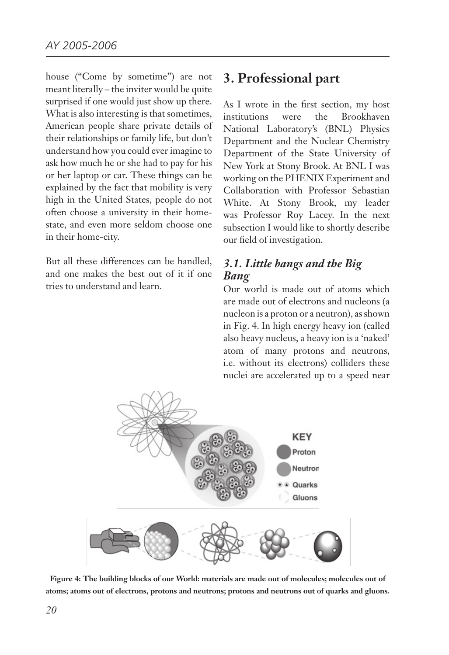house ("Come by sometime") are not meant literally – the inviter would be quite surprised if one would just show up there. What is also interesting is that sometimes, American people share private details of their relationships or family life, but don't understand how you could ever imagine to ask how much he or she had to pay for his or her laptop or car. These things can be explained by the fact that mobility is very high in the United States, people do not often choose a university in their homestate, and even more seldom choose one in their home-city.

But all these differences can be handled, and one makes the best out of it if one tries to understand and learn.

### **3. Professional part**

As I wrote in the first section, my host institutions were the Brookhaven National Laboratory's (BNL) Physics Department and the Nuclear Chemistry Department of the State University of New York at Stony Brook. At BNL I was working on the PHENIX Experiment and Collaboration with Professor Sebastian White. At Stony Brook, my leader was Professor Roy Lacey. In the next subsection I would like to shortly describe our field of investigation.

#### *3.1. Little bangs and the Big Bang*

Our world is made out of atoms which are made out of electrons and nucleons (a nucleon is a proton or a neutron), as shown in Fig. 4. In high energy heavy ion (called also heavy nucleus, a heavy ion is a 'naked' atom of many protons and neutrons, i.e. without its electrons) colliders these nuclei are accelerated up to a speed near



**Figure 4: The building blocks of our World: materials are made out of molecules; molecules out of atoms; atoms out of electrons, protons and neutrons; protons and neutrons out of quarks and gluons.**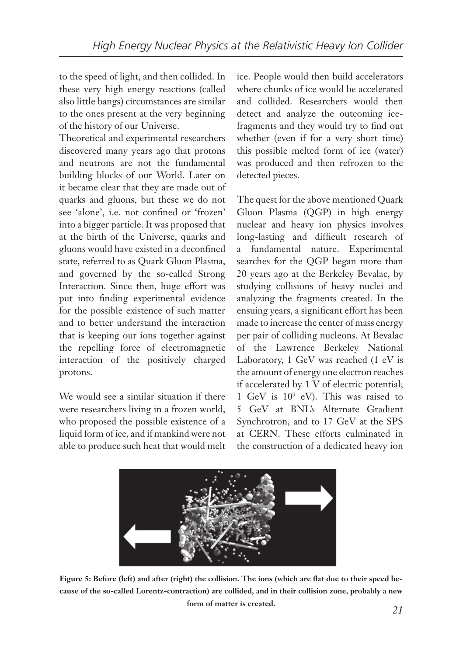to the speed of light, and then collided. In these very high energy reactions (called also little bangs) circumstances are similar to the ones present at the very beginning of the history of our Universe.

Theoretical and experimental researchers discovered many years ago that protons and neutrons are not the fundamental building blocks of our World. Later on it became clear that they are made out of quarks and gluons, but these we do not see 'alone', i.e. not confined or 'frozen' into a bigger particle. It was proposed that at the birth of the Universe, quarks and gluons would have existed in a deconfined state, referred to as Quark Gluon Plasma, and governed by the so-called Strong Interaction. Since then, huge effort was put into finding experimental evidence for the possible existence of such matter and to better understand the interaction that is keeping our ions together against the repelling force of electromagnetic interaction of the positively charged protons.

We would see a similar situation if there were researchers living in a frozen world, who proposed the possible existence of a liquid form of ice, and if mankind were not able to produce such heat that would melt ice. People would then build accelerators where chunks of ice would be accelerated and collided. Researchers would then detect and analyze the outcoming icefragments and they would try to find out whether (even if for a very short time) this possible melted form of ice (water) was produced and then refrozen to the detected pieces.

The quest for the above mentioned Quark Gluon Plasma (QGP) in high energy nuclear and heavy ion physics involves long-lasting and difficult research of a fundamental nature. Experimental searches for the QGP began more than 20 years ago at the Berkeley Bevalac, by studying collisions of heavy nuclei and analyzing the fragments created. In the ensuing years, a significant effort has been made to increase the center of mass energy per pair of colliding nucleons. At Bevalac of the Lawrence Berkeley National Laboratory, 1 GeV was reached (1 eV is the amount of energy one electron reaches if accelerated by 1 V of electric potential; 1 GeV is 109 eV). This was raised to 5 GeV at BNL's Alternate Gradient Synchrotron, and to 17 GeV at the SPS at CERN. These efforts culminated in the construction of a dedicated heavy ion



**Figure 5: Before (left) and after (right) the collision. The ions (which are flat due to their speed because of the so-called Lorentz-contraction) are collided, and in their collision zone, probably a new form of matter is created.**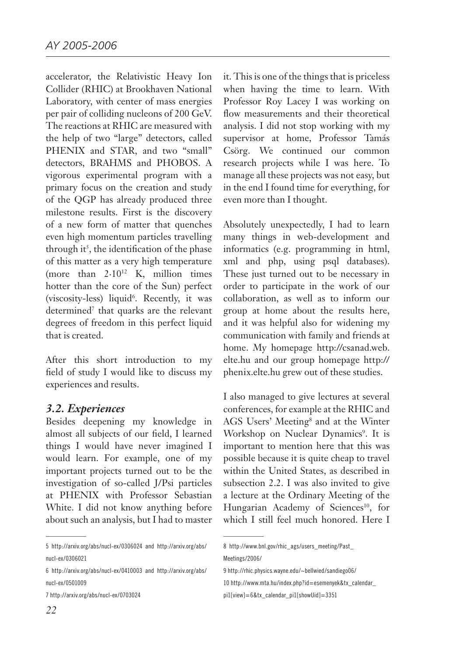accelerator, the Relativistic Heavy Ion Collider (RHIC) at Brookhaven National Laboratory, with center of mass energies per pair of colliding nucleons of 200 GeV. The reactions at RHIC are measured with the help of two "large" detectors, called PHENIX and STAR, and two "small" detectors, BRAHMS and PHOBOS. A vigorous experimental program with a primary focus on the creation and study of the QGP has already produced three milestone results. First is the discovery of a new form of matter that quenches even high momentum particles travelling through it<sup>5</sup>, the identification of the phase of this matter as a very high temperature (more than  $2.10^{12}$  K, million times hotter than the core of the Sun) perfect (viscosity-less) liquid<sup>6</sup>. Recently, it was determined<sup>7</sup> that quarks are the relevant degrees of freedom in this perfect liquid that is created.

After this short introduction to my field of study I would like to discuss my experiences and results.

#### *3.2. Experiences*

Besides deepening my knowledge in almost all subjects of our field, I learned things I would have never imagined I would learn. For example, one of my important projects turned out to be the investigation of so-called J/Psi particles at PHENIX with Professor Sebastian White. I did not know anything before about such an analysis, but I had to master

7 http://arxiv.org/abs/nucl-ex/0703024

it. This is one of the things that is priceless when having the time to learn. With Professor Roy Lacey I was working on flow measurements and their theoretical analysis. I did not stop working with my supervisor at home, Professor Tamás Csörg. We continued our common research projects while I was here. To manage all these projects was not easy, but in the end I found time for everything, for even more than I thought.

Absolutely unexpectedly, I had to learn many things in web-development and informatics (e.g. programming in html, xml and php, using psql databases). These just turned out to be necessary in order to participate in the work of our collaboration, as well as to inform our group at home about the results here, and it was helpful also for widening my communication with family and friends at home. My homepage http://csanad.web. elte.hu and our group homepage http:// phenix.elte.hu grew out of these studies.

I also managed to give lectures at several conferences, for example at the RHIC and AGS Users' Meeting<sup>8</sup> and at the Winter Workshop on Nuclear Dynamics<sup>9</sup>. It is important to mention here that this was possible because it is quite cheap to travel within the United States, as described in subsection 2.2. I was also invited to give a lecture at the Ordinary Meeting of the Hungarian Academy of Sciences<sup>10</sup>, for which I still feel much honored. Here I

10 http://www.mta.hu/index.php?id=esemenyek&tx\_calendar\_

<sup>5</sup> http://arxiv.org/abs/nucl-ex/0306024 and http://arxiv.org/abs/ nucl-ex/0306021

<sup>6</sup> http://arxiv.org/abs/nucl-ex/0410003 and http://arxiv.org/abs/ nucl-ex/0501009

<sup>8</sup> http://www.bnl.gov/rhic\_ags/users\_meeting/Past\_ Meetings/2006/

<sup>9</sup> http://rhic.physics.wayne.edu/~bellwied/sandiego06/

pi1[view]=6&tx\_calendar\_pi1[showUid]=3351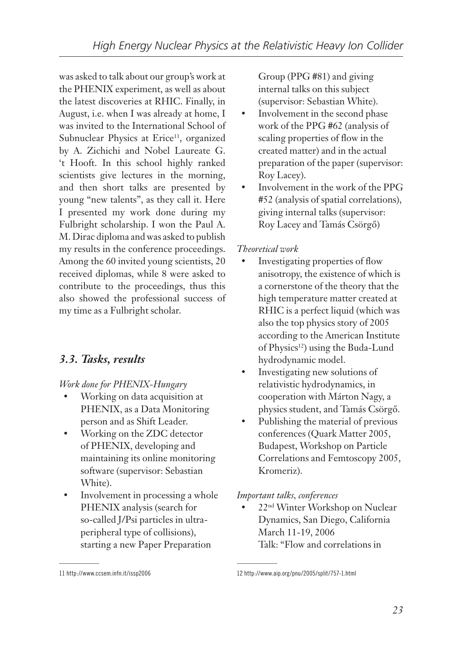was asked to talk about our group's work at the PHENIX experiment, as well as about the latest discoveries at RHIC. Finally, in August, i.e. when I was already at home, I was invited to the International School of Subnuclear Physics at Erice<sup>11</sup>, organized by A. Zichichi and Nobel Laureate G. 't Hooft. In this school highly ranked scientists give lectures in the morning, and then short talks are presented by young "new talents", as they call it. Here I presented my work done during my Fulbright scholarship. I won the Paul A. M. Dirac diploma and was asked to publish my results in the conference proceedings. Among the 60 invited young scientists, 20 received diplomas, while 8 were asked to contribute to the proceedings, thus this also showed the professional success of my time as a Fulbright scholar.

### *3.3. Tasks, results*

*Work done for PHENIX-Hungary*

- Working on data acquisition at PHENIX, as a Data Monitoring person and as Shift Leader.
- • Working on the ZDC detector of PHENIX, developing and maintaining its online monitoring software (supervisor: Sebastian White).
- Involvement in processing a whole PHENIX analysis (search for so-called J/Psi particles in ultraperipheral type of collisions), starting a new Paper Preparation

Group (PPG #81) and giving internal talks on this subject (supervisor: Sebastian White).

- Involvement in the second phase work of the PPG #62 (analysis of scaling properties of flow in the created matter) and in the actual preparation of the paper (supervisor: Roy Lacey).
- Involvement in the work of the PPG #52 (analysis of spatial correlations), giving internal talks (supervisor: Roy Lacey and Tamás Csörgő)

#### *Theoretical work*

- Investigating properties of flow anisotropy, the existence of which is a cornerstone of the theory that the high temperature matter created at RHIC is a perfect liquid (which was also the top physics story of 2005 according to the American Institute of Physics<sup>12</sup>) using the Buda-Lund hydrodynamic model.
- Investigating new solutions of relativistic hydrodynamics, in cooperation with Márton Nagy, a physics student, and Tamás Csörgő.
- Publishing the material of previous conferences (Quark Matter 2005, Budapest, Workshop on Particle Correlations and Femtoscopy 2005, Kromeriz).

*Important talks, conferences*

22<sup>nd</sup> Winter Workshop on Nuclear Dynamics, San Diego, California March 11-19, 2006 Talk: "Flow and correlations in

<sup>11</sup> http://www.ccsem.infn.it/issp2006

<sup>12</sup> http://www.aip.org/pnu/2005/split/757-1.html